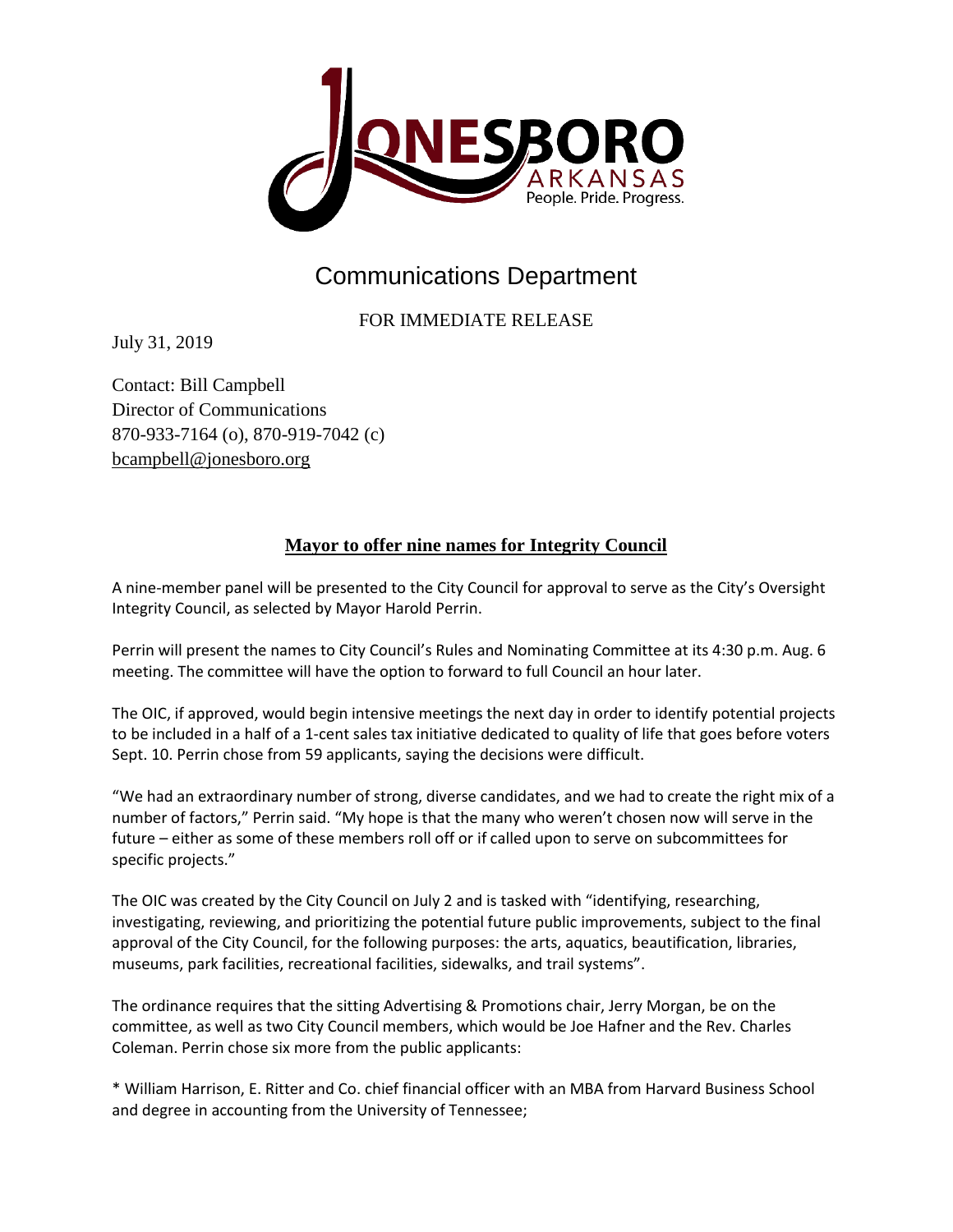

## Communications Department

FOR IMMEDIATE RELEASE

July 31, 2019

Contact: Bill Campbell Director of Communications 870-933-7164 (o), 870-919-7042 (c) [bcampbell@jonesboro.org](mailto:bcampbell@jonesboro.org)

## **Mayor to offer nine names for Integrity Council**

A nine-member panel will be presented to the City Council for approval to serve as the City's Oversight Integrity Council, as selected by Mayor Harold Perrin.

Perrin will present the names to City Council's Rules and Nominating Committee at its 4:30 p.m. Aug. 6 meeting. The committee will have the option to forward to full Council an hour later.

The OIC, if approved, would begin intensive meetings the next day in order to identify potential projects to be included in a half of a 1-cent sales tax initiative dedicated to quality of life that goes before voters Sept. 10. Perrin chose from 59 applicants, saying the decisions were difficult.

"We had an extraordinary number of strong, diverse candidates, and we had to create the right mix of a number of factors," Perrin said. "My hope is that the many who weren't chosen now will serve in the future – either as some of these members roll off or if called upon to serve on subcommittees for specific projects."

The OIC was created by the City Council on July 2 and is tasked with "identifying, researching, investigating, reviewing, and prioritizing the potential future public improvements, subject to the final approval of the City Council, for the following purposes: the arts, aquatics, beautification, libraries, museums, park facilities, recreational facilities, sidewalks, and trail systems".

The ordinance requires that the sitting Advertising & Promotions chair, Jerry Morgan, be on the committee, as well as two City Council members, which would be Joe Hafner and the Rev. Charles Coleman. Perrin chose six more from the public applicants:

\* William Harrison, E. Ritter and Co. chief financial officer with an MBA from Harvard Business School and degree in accounting from the University of Tennessee;